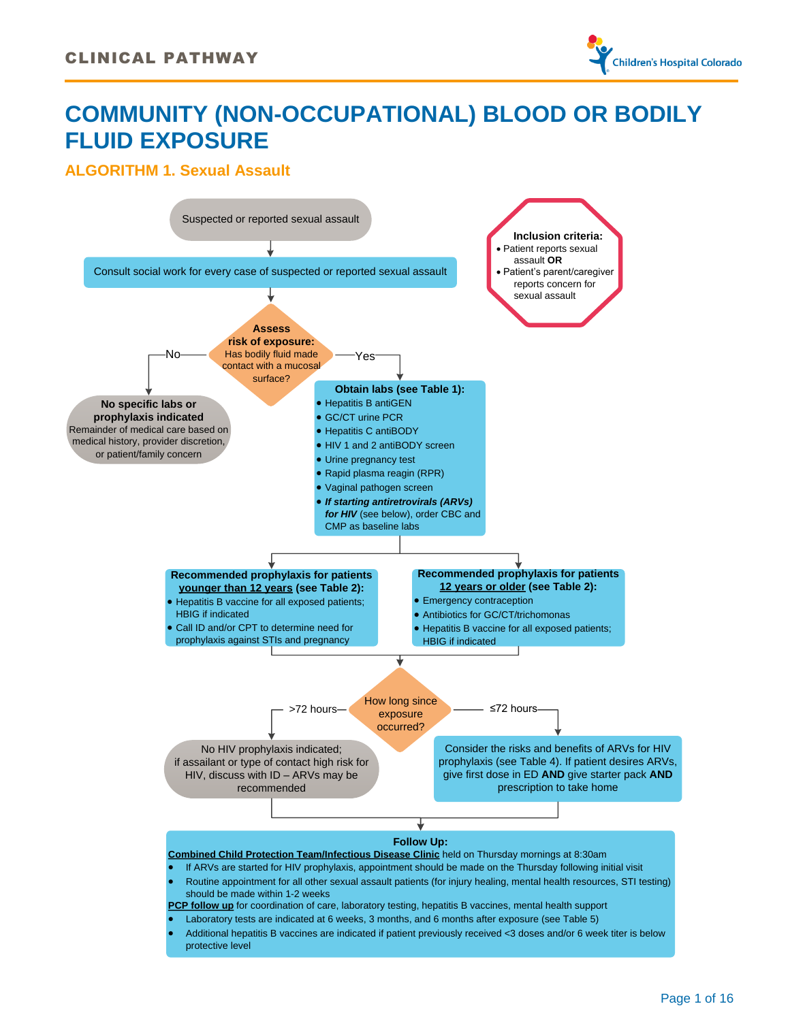

# **COMMUNITY (NON-OCCUPATIONAL) BLOOD OR BODILY FLUID EXPOSURE**

### <span id="page-0-0"></span>**ALGORITHM 1. Sexual Assault**

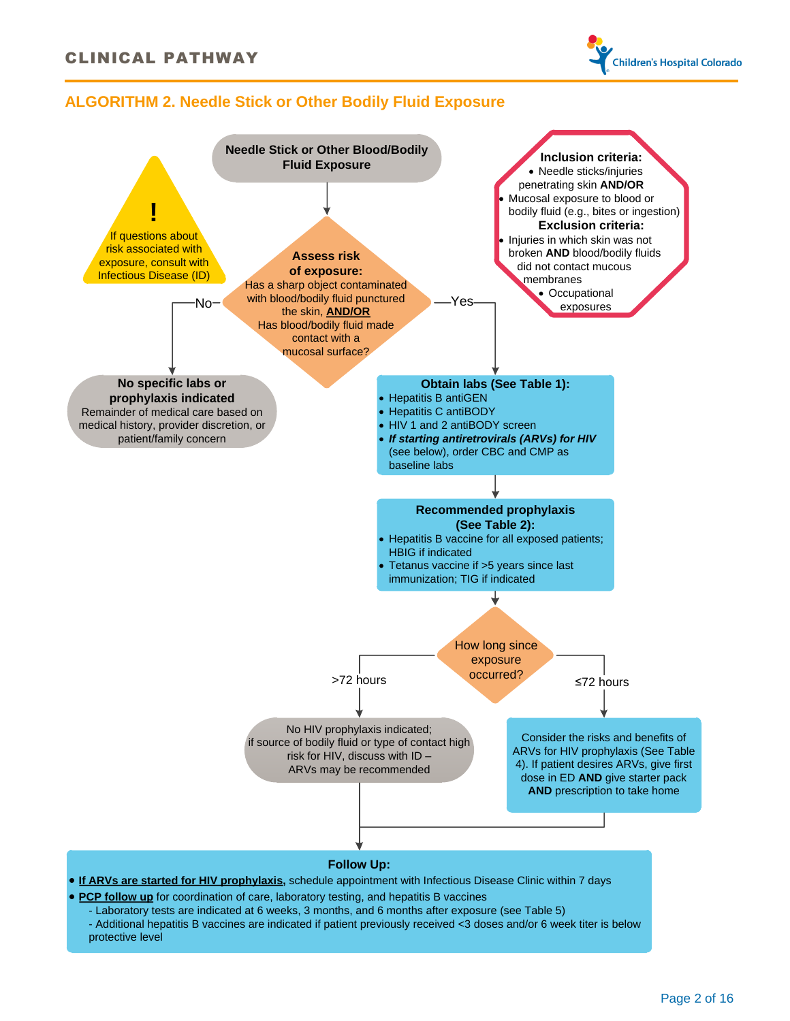

### <span id="page-1-0"></span>**ALGORITHM 2. Needle Stick or Other Bodily Fluid Exposure**



Page 2 of 16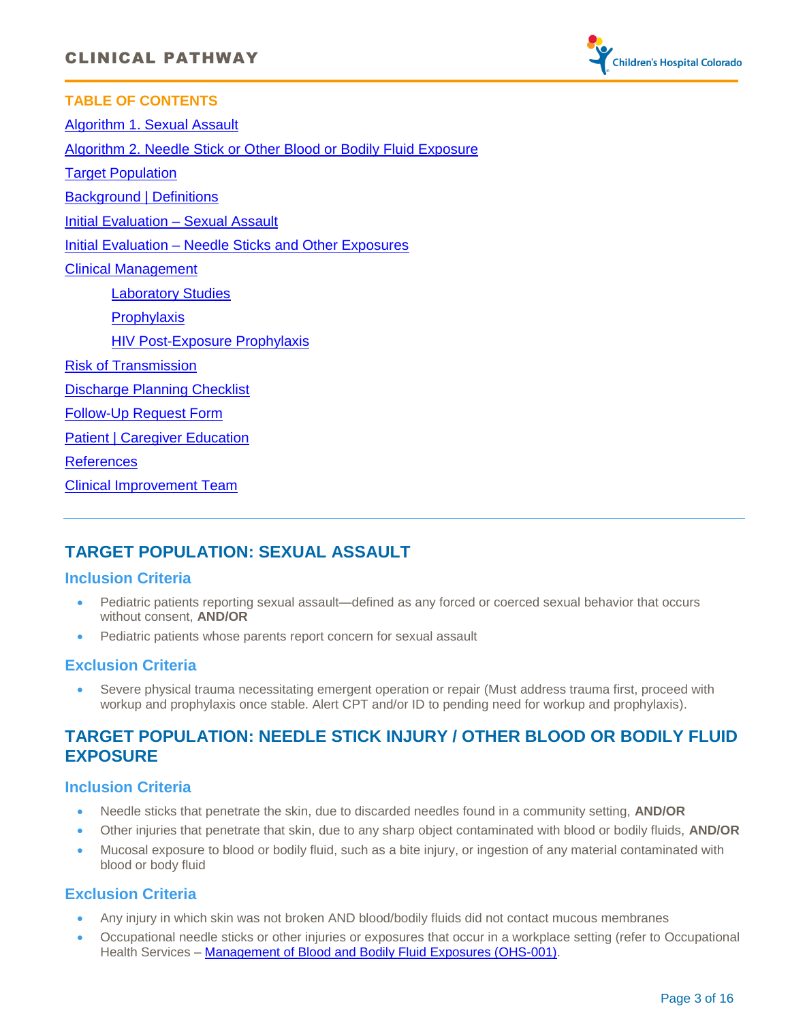

**TABLE OF CONTENTS**  Algorithm [1. Sexual Assault](#page-0-0) [Algorithm 2. Needle Stick or Other Blood or Bodily Fluid Exposure](#page-1-0) [Target Population](#page-2-0) [Background | Definitions](#page-3-0) [Initial Evaluation](#page-3-1) – Sexual Assault Initial Evaluation – [Needle Sticks and Other Exposures](#page-3-2) [Clinical Management](#page-4-0) [Laboratory Studies](#page-4-1) **[Prophylaxis](#page-5-0)** [HIV Post-Exposure Prophylaxis](#page-6-0) [Risk of Transmission](#page-8-0) [Discharge Planning Checklist](#page-10-0) [Follow-Up Request Form](#page-11-0) [Patient | Caregiver Education](#page-12-0) [References](#page-13-0) [Clinical Improvement Team](#page-14-0)

# <span id="page-2-0"></span>**TARGET POPULATION: SEXUAL ASSAULT**

### **Inclusion Criteria**

- Pediatric patients reporting sexual assault—defined as any forced or coerced sexual behavior that occurs without consent, **AND/OR**
- Pediatric patients whose parents report concern for sexual assault

### **Exclusion Criteria**

· Severe physical trauma necessitating emergent operation or repair (Must address trauma first, proceed with workup and prophylaxis once stable. Alert CPT and/or ID to pending need for workup and prophylaxis).

### **TARGET POPULATION: NEEDLE STICK INJURY / OTHER BLOOD OR BODILY FLUID EXPOSURE**

### **Inclusion Criteria**

- · Needle sticks that penetrate the skin, due to discarded needles found in a community setting, **AND/OR**
- · Other injuries that penetrate that skin, due to any sharp object contaminated with blood or bodily fluids, **AND/OR**
- · Mucosal exposure to blood or bodily fluid, such as a bite injury, or ingestion of any material contaminated with blood or body fluid

### **Exclusion Criteria**

- · Any injury in which skin was not broken AND blood/bodily fluids did not contact mucous membranes
- · Occupational needle sticks or other injuries or exposures that occur in a workplace setting (refer to Occupational Health Services – [Management of Blood and Bodily Fluid Exposures \(OHS-001\).](http://prdplanetcf02.thechildrenshospital.org/policiesfitz/general/pdf/347.pdf)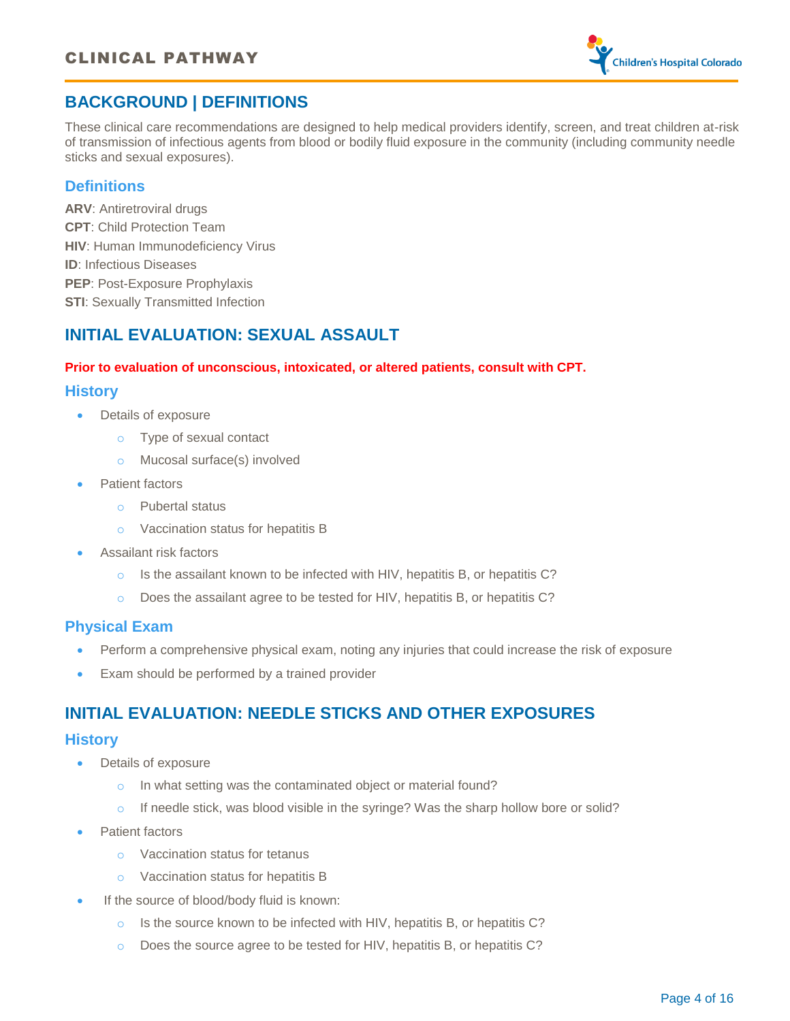

# <span id="page-3-0"></span>**BACKGROUND | DEFINITIONS**

These clinical care recommendations are designed to help medical providers identify, screen, and treat children at-risk of transmission of infectious agents from blood or bodily fluid exposure in the community (including community needle sticks and sexual exposures).

### **Definitions**

**ARV**: Antiretroviral drugs **CPT**: Child Protection Team **HIV: Human Immunodeficiency Virus ID**: Infectious Diseases **PEP**: Post-Exposure Prophylaxis **STI: Sexually Transmitted Infection** 

# <span id="page-3-1"></span>**INITIAL EVALUATION: SEXUAL ASSAULT**

### **Prior to evaluation of unconscious, intoxicated, or altered patients, consult with CPT.**

### **History**

- Details of exposure
	- o Type of sexual contact
	- o Mucosal surface(s) involved
- Patient factors
	- o Pubertal status
	- o Vaccination status for hepatitis B
- Assailant risk factors
	- o Is the assailant known to be infected with HIV, hepatitis B, or hepatitis C?
	- o Does the assailant agree to be tested for HIV, hepatitis B, or hepatitis C?

### **Physical Exam**

- Perform a comprehensive physical exam, noting any injuries that could increase the risk of exposure
- Exam should be performed by a trained provider

### <span id="page-3-2"></span>**INITIAL EVALUATION: NEEDLE STICKS AND OTHER EXPOSURES**

### **History**

- Details of exposure
	- o In what setting was the contaminated object or material found?
	- $\circ$  If needle stick, was blood visible in the syringe? Was the sharp hollow bore or solid?
- Patient factors
	- o Vaccination status for tetanus
	- o Vaccination status for hepatitis B
- If the source of blood/body fluid is known:
	- o Is the source known to be infected with HIV, hepatitis B, or hepatitis C?
	- o Does the source agree to be tested for HIV, hepatitis B, or hepatitis C?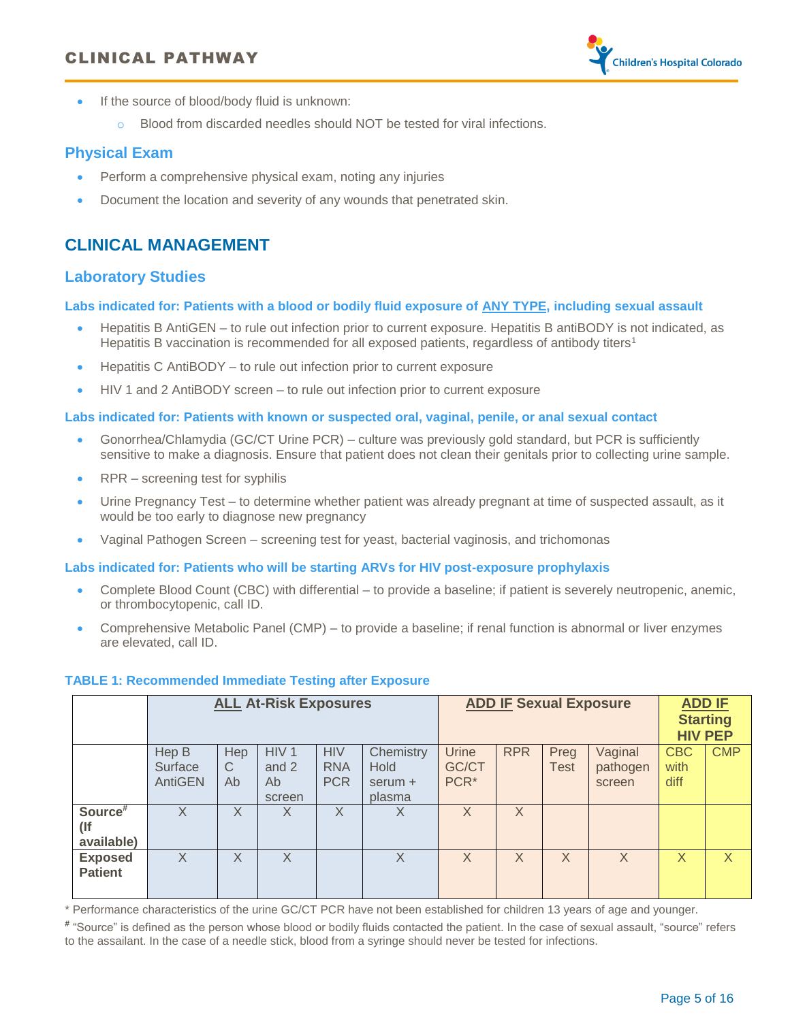### CLINICAL PATHWAY



- · If the source of blood/body fluid is unknown:
	- o Blood from discarded needles should NOT be tested for viral infections.

### **Physical Exam**

- Perform a comprehensive physical exam, noting any injuries
- · Document the location and severity of any wounds that penetrated skin.

### <span id="page-4-0"></span>**CLINICAL MANAGEMENT**

### <span id="page-4-1"></span>**Laboratory Studies**

**Labs indicated for: Patients with a blood or bodily fluid exposure of ANY TYPE, including sexual assault**

- · Hepatitis B AntiGEN to rule out infection prior to current exposure. Hepatitis B antiBODY is not indicated, as Hepatitis B vaccination is recommended for all exposed patients, regardless of antibody titers<sup>1</sup>
- Hepatitis C AntiBODY to rule out infection prior to current exposure
- · HIV 1 and 2 AntiBODY screen to rule out infection prior to current exposure

#### **Labs indicated for: Patients with known or suspected oral, vaginal, penile, or anal sexual contact**

- · Gonorrhea/Chlamydia (GC/CT Urine PCR) culture was previously gold standard, but PCR is sufficiently sensitive to make a diagnosis. Ensure that patient does not clean their genitals prior to collecting urine sample.
- RPR screening test for syphilis
- · Urine Pregnancy Test to determine whether patient was already pregnant at time of suspected assault, as it would be too early to diagnose new pregnancy
- · Vaginal Pathogen Screen screening test for yeast, bacterial vaginosis, and trichomonas

#### **Labs indicated for: Patients who will be starting ARVs for HIV post-exposure prophylaxis**

- · Complete Blood Count (CBC) with differential to provide a baseline; if patient is severely neutropenic, anemic, or thrombocytopenic, call ID.
- · Comprehensive Metabolic Panel (CMP) to provide a baseline; if renal function is abnormal or liver enzymes are elevated, call ID.

#### <span id="page-4-2"></span>**TABLE 1: Recommended Immediate Testing after Exposure**

|                                        | <b>ALL At-Risk Exposures</b> |                |                                           |                                        | <b>ADD IF Sexual Exposure</b>            |                                           |            | <b>ADD IF</b>       | <b>Starting</b><br><b>HIV PEP</b> |                            |            |
|----------------------------------------|------------------------------|----------------|-------------------------------------------|----------------------------------------|------------------------------------------|-------------------------------------------|------------|---------------------|-----------------------------------|----------------------------|------------|
|                                        | Hep B<br>Surface<br>AntiGEN  | Hep<br>C<br>Ab | HIV <sub>1</sub><br>and 2<br>Ab<br>screen | <b>HIV</b><br><b>RNA</b><br><b>PCR</b> | Chemistry<br>Hold<br>$serum +$<br>plasma | <b>Urine</b><br>GC/CT<br>PCR <sup>*</sup> | <b>RPR</b> | Preg<br><b>Test</b> | Vaginal<br>pathogen<br>screen     | <b>CBC</b><br>with<br>diff | <b>CMP</b> |
| Source <sup>#</sup><br>(<br>available) | X                            | X              | X                                         | X                                      | X                                        | X                                         | X          |                     |                                   |                            |            |
| <b>Exposed</b><br><b>Patient</b>       | X                            | X              | X                                         |                                        | X                                        | X                                         | X          | X                   | X                                 | X                          | X          |

\* Performance characteristics of the urine GC/CT PCR have not been established for children 13 years of age and younger.

**#** "Source" is defined as the person whose blood or bodily fluids contacted the patient. In the case of sexual assault, "source" refers to the assailant. In the case of a needle stick, blood from a syringe should never be tested for infections.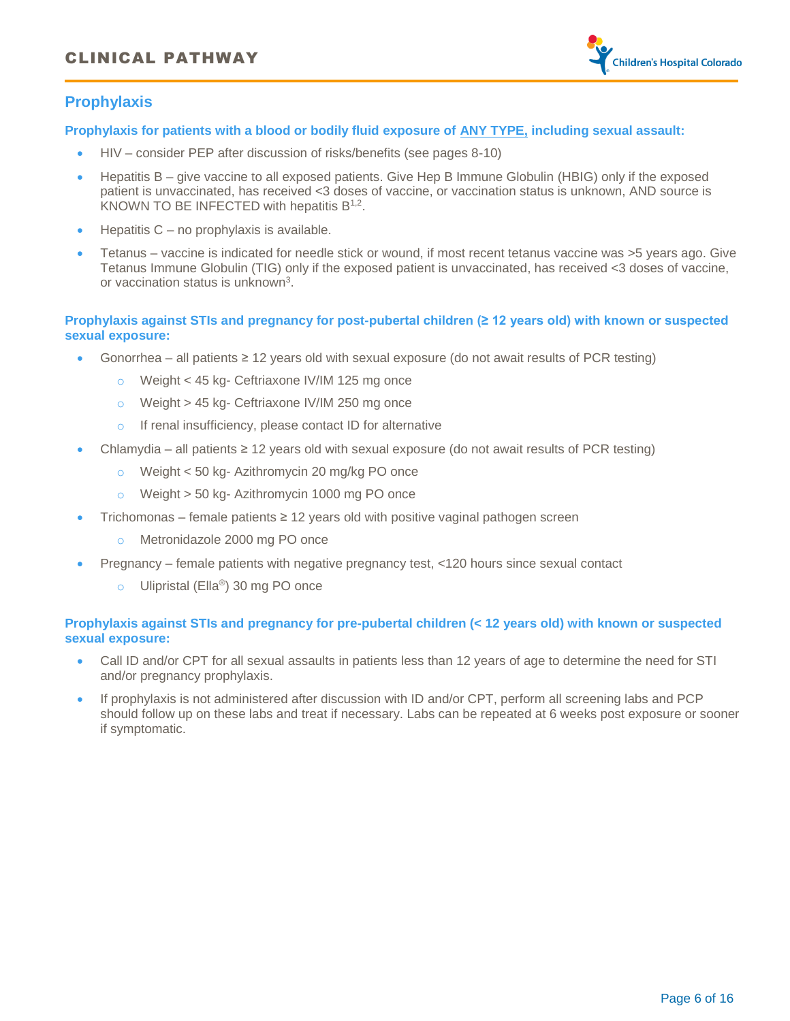

### <span id="page-5-0"></span>**Prophylaxis**

#### **Prophylaxis for patients with a blood or bodily fluid exposure of ANY TYPE, including sexual assault:**

- · HIV consider PEP after discussion of risks/benefits (see pages 8-10)
- · Hepatitis B give vaccine to all exposed patients. Give Hep B Immune Globulin (HBIG) only if the exposed patient is unvaccinated, has received <3 doses of vaccine, or vaccination status is unknown, AND source is KNOWN TO BE INFECTED with hepatitis  $B^{1,2}$ .
- · Hepatitis C no prophylaxis is available.
- Tetanus vaccine is indicated for needle stick or wound, if most recent tetanus vaccine was >5 years ago. Give Tetanus Immune Globulin (TIG) only if the exposed patient is unvaccinated, has received <3 doses of vaccine, or vaccination status is unknown<sup>3</sup>.

#### **Prophylaxis against STIs and pregnancy for post-pubertal children (≥ 12 years old) with known or suspected sexual exposure:**

- Gonorrhea all patients  $\geq 12$  years old with sexual exposure (do not await results of PCR testing)
	- o Weight < 45 kg- Ceftriaxone IV/IM 125 mg once
	- o Weight > 45 kg- Ceftriaxone IV/IM 250 mg once
	- o If renal insufficiency, please contact ID for alternative
- · Chlamydia all patients ≥ 12 years old with sexual exposure (do not await results of PCR testing)
	- o Weight < 50 kg- Azithromycin 20 mg/kg PO once
	- o Weight > 50 kg- Azithromycin 1000 mg PO once
- Trichomonas female patients  $\geq 12$  years old with positive vaginal pathogen screen
	- o Metronidazole 2000 mg PO once
- · Pregnancy female patients with negative pregnancy test, <120 hours since sexual contact
	- o Ulipristal (Ella®) 30 mg PO once

#### **Prophylaxis against STIs and pregnancy for pre-pubertal children (< 12 years old) with known or suspected sexual exposure:**

- · Call ID and/or CPT for all sexual assaults in patients less than 12 years of age to determine the need for STI and/or pregnancy prophylaxis.
- · If prophylaxis is not administered after discussion with ID and/or CPT, perform all screening labs and PCP should follow up on these labs and treat if necessary. Labs can be repeated at 6 weeks post exposure or sooner if symptomatic.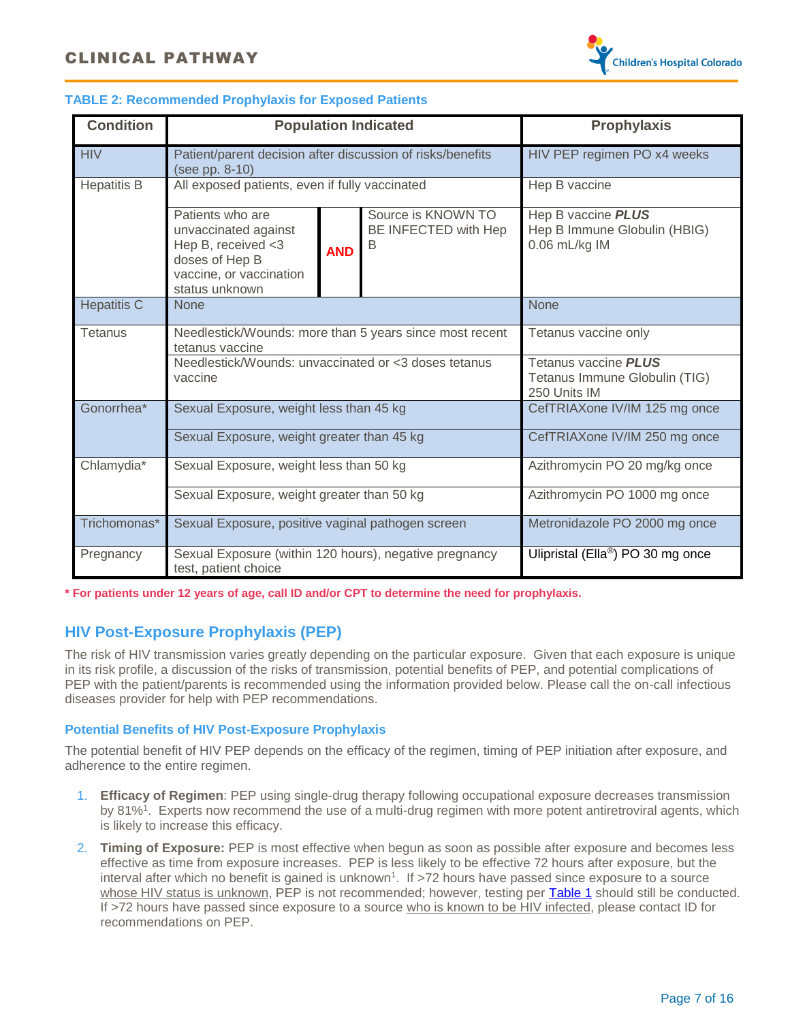

#### <span id="page-6-1"></span>**TABLE 2: Recommended Prophylaxis for Exposed Patients**

| <b>Condition</b>   |                                                                                                                                                  | <b>Population Indicated</b> |                                            |                                                                              |
|--------------------|--------------------------------------------------------------------------------------------------------------------------------------------------|-----------------------------|--------------------------------------------|------------------------------------------------------------------------------|
| <b>HIV</b>         | Patient/parent decision after discussion of risks/benefits<br>(see pp. 8-10)                                                                     |                             |                                            | HIV PEP regimen PO x4 weeks                                                  |
| <b>Hepatitis B</b> | All exposed patients, even if fully vaccinated                                                                                                   |                             |                                            | Hep B vaccine                                                                |
|                    | Patients who are<br>unvaccinated against<br>Hep B, received <3<br>B<br><b>AND</b><br>doses of Hep B<br>vaccine, or vaccination<br>status unknown |                             | Source is KNOWN TO<br>BE INFECTED with Hep | Hep B vaccine <b>PLUS</b><br>Hep B Immune Globulin (HBIG)<br>0.06 mL/kg IM   |
| <b>Hepatitis C</b> | <b>None</b>                                                                                                                                      |                             |                                            | <b>None</b>                                                                  |
| Tetanus            | Needlestick/Wounds: more than 5 years since most recent<br>tetanus vaccine                                                                       |                             |                                            | Tetanus vaccine only                                                         |
|                    | Needlestick/Wounds: unvaccinated or <3 doses tetanus<br>vaccine                                                                                  |                             |                                            | Tetanus vaccine <b>PLUS</b><br>Tetanus Immune Globulin (TIG)<br>250 Units IM |
| Gonorrhea*         | Sexual Exposure, weight less than 45 kg                                                                                                          |                             |                                            | CefTRIAXone IV/IM 125 mg once                                                |
|                    | Sexual Exposure, weight greater than 45 kg                                                                                                       |                             |                                            | CefTRIAXone IV/IM 250 mg once                                                |
| Chlamydia*         | Sexual Exposure, weight less than 50 kg                                                                                                          |                             |                                            | Azithromycin PO 20 mg/kg once                                                |
|                    | Sexual Exposure, weight greater than 50 kg                                                                                                       |                             |                                            | Azithromycin PO 1000 mg once                                                 |
| Trichomonas*       | Sexual Exposure, positive vaginal pathogen screen                                                                                                |                             |                                            | Metronidazole PO 2000 mg once                                                |
| Pregnancy          | Sexual Exposure (within 120 hours), negative pregnancy<br>test, patient choice                                                                   |                             |                                            | Ulipristal (Ella®) PO 30 mg once                                             |

<span id="page-6-0"></span>**\* For patients under 12 years of age, call ID and/or CPT to determine the need for prophylaxis.** 

### **HIV Post-Exposure Prophylaxis (PEP)**

The risk of HIV transmission varies greatly depending on the particular exposure. Given that each exposure is unique in its risk profile, a discussion of the risks of transmission, potential benefits of PEP, and potential complications of PEP with the patient/parents is recommended using the information provided below. Please call the on-call infectious diseases provider for help with PEP recommendations.

#### **Potential Benefits of HIV Post-Exposure Prophylaxis**

The potential benefit of HIV PEP depends on the efficacy of the regimen, timing of PEP initiation after exposure, and adherence to the entire regimen.

- 1. **Efficacy of Regimen**: PEP using single-drug therapy following occupational exposure decreases transmission by 81%<sup>1</sup>. Experts now recommend the use of a multi-drug regimen with more potent antiretroviral agents, which is likely to increase this efficacy.
- 2. **Timing of Exposure:** PEP is most effective when begun as soon as possible after exposure and becomes less effective as time from exposure increases. PEP is less likely to be effective 72 hours after exposure, but the interval after which no benefit is gained is unknown<sup>1</sup>. If >72 hours have passed since exposure to a source whose HIV status is unknown, PEP is not recommended; however, testing per **Table 1** should still be conducted. If >72 hours have passed since exposure to a source who is known to be HIV infected, please contact ID for recommendations on PEP.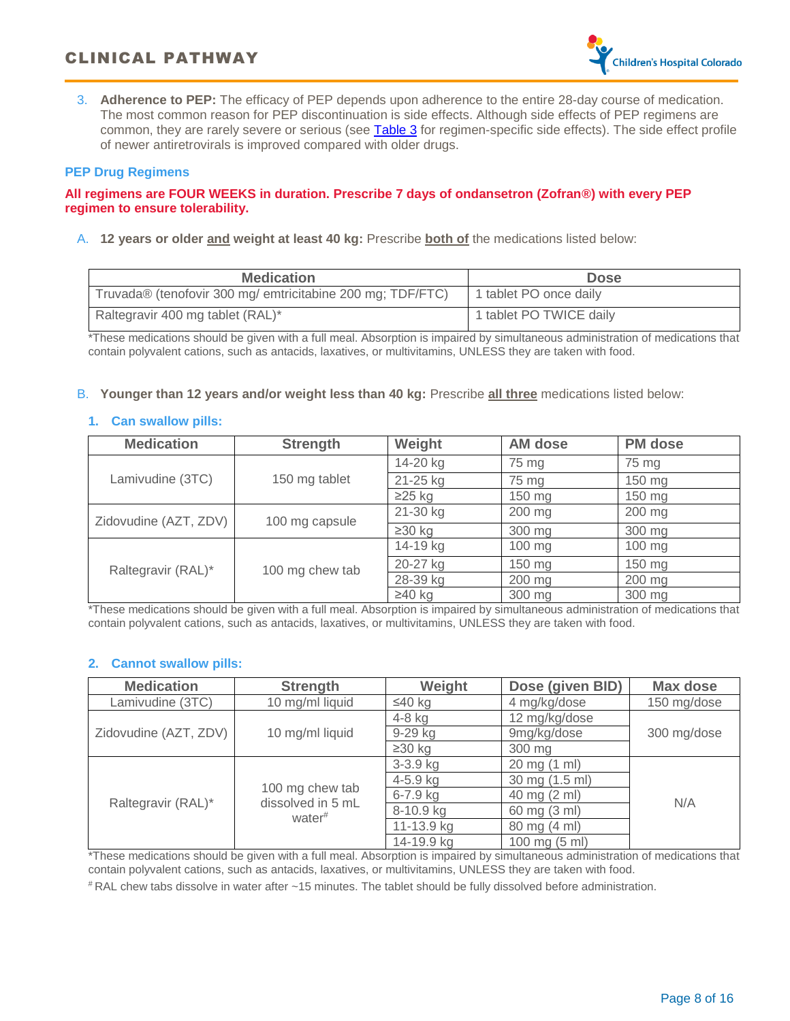3. **Adherence to PEP:** The efficacy of PEP depends upon adherence to the entire 28-day course of medication. The most common reason for PEP discontinuation is side effects. Although side effects of PEP regimens are common, they are rarely severe or serious (see [Table 3](#page-8-1) for regimen-specific side effects). The side effect profile of newer antiretrovirals is improved compared with older drugs.

#### **PEP Drug Regimens**

#### **All regimens are FOUR WEEKS in duration. Prescribe 7 days of ondansetron (Zofran®) with every PEP regimen to ensure tolerability.**

A. **12 years or older and weight at least 40 kg:** Prescribe **both of** the medications listed below:

| <b>Medication</b>                                          | <b>Dose</b>             |
|------------------------------------------------------------|-------------------------|
| Truvada® (tenofovir 300 mg/ emtricitabine 200 mg; TDF/FTC) | 1 tablet PO once daily  |
| Raltegravir 400 mg tablet (RAL)*                           | 1 tablet PO TWICE daily |

\*These medications should be given with a full meal. Absorption is impaired by simultaneous administration of medications that contain polyvalent cations, such as antacids, laxatives, or multivitamins, UNLESS they are taken with food.

#### B. **Younger than 12 years and/or weight less than 40 kg:** Prescribe **all three** medications listed below:

#### **1. Can swallow pills:**

| <b>Medication</b>     | <b>Strength</b> | Weight       | <b>AM dose</b> | <b>PM</b> dose   |
|-----------------------|-----------------|--------------|----------------|------------------|
|                       |                 | 14-20 kg     | 75 mg          | 75 mg            |
| Lamivudine (3TC)      | 150 mg tablet   | 21-25 kg     | 75 mg          | 150 mg           |
|                       |                 | $\geq$ 25 kg | 150 mg         | $150 \text{ mg}$ |
| Zidovudine (AZT, ZDV) | 100 mg capsule  | 21-30 kg     | 200 mg         | 200 mg           |
|                       |                 | $\geq$ 30 kg | 300 mg         | 300 mg           |
|                       | 100 mg chew tab | 14-19 kg     | 100 mg         | 100 mg           |
| Raltegravir (RAL)*    |                 | 20-27 kg     | 150 mg         | $150 \text{ mg}$ |
|                       |                 | 28-39 kg     | 200 mg         | 200 mg           |
|                       |                 | $\geq 40$ kg | 300 mg         | 300 mg           |

\*These medications should be given with a full meal. Absorption is impaired by simultaneous administration of medications that contain polyvalent cations, such as antacids, laxatives, or multivitamins, UNLESS they are taken with food.

### **2. Cannot swallow pills:**

| <b>Medication</b>     | <b>Strength</b>                      | Weight       | Dose (given BID) | Max dose    |  |
|-----------------------|--------------------------------------|--------------|------------------|-------------|--|
| Lamivudine (3TC)      | 10 mg/ml liquid                      | ≤40 kg       | 4 mg/kg/dose     | 150 mg/dose |  |
|                       |                                      | 4-8 kg       | 12 mg/kg/dose    | 300 mg/dose |  |
| Zidovudine (AZT, ZDV) | 10 mg/ml liquid                      | 9-29 kg      | 9mg/kg/dose      |             |  |
|                       |                                      | $\geq$ 30 kg | 300 mg           |             |  |
|                       | 100 mg chew tab<br>dissolved in 5 mL | 3-3.9 kg     | 20 mg (1 ml)     | N/A         |  |
|                       |                                      | $4 - 5.9$ kg | 30 mg (1.5 ml)   |             |  |
| Raltegravir (RAL)*    |                                      | $6 - 7.9$ kg | 40 mg (2 ml)     |             |  |
|                       | water <sup>#</sup>                   | 8-10.9 kg    | 60 mg (3 ml)     |             |  |
|                       |                                      | 11-13.9 kg   | 80 mg (4 ml)     |             |  |
|                       |                                      | 14-19.9 kg   | 100 mg (5 ml)    |             |  |

\*These medications should be given with a full meal. Absorption is impaired by simultaneous administration of medications that contain polyvalent cations, such as antacids, laxatives, or multivitamins, UNLESS they are taken with food.

# RAL chew tabs dissolve in water after ~15 minutes. The tablet should be fully dissolved before administration.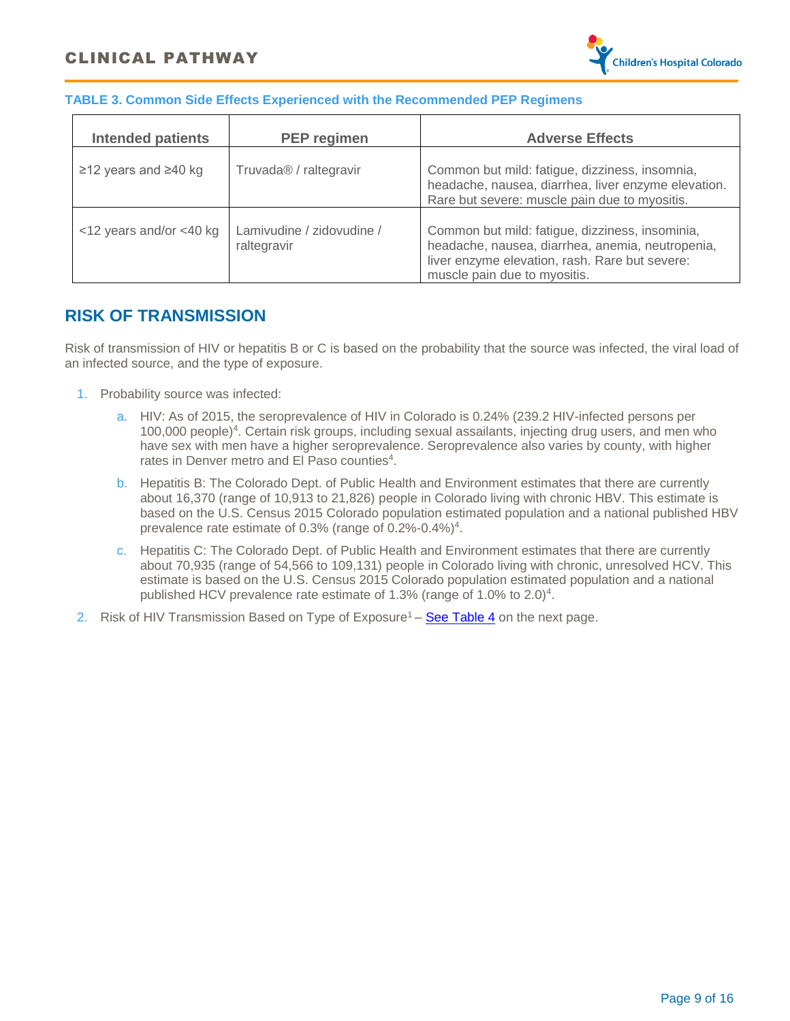

### <span id="page-8-1"></span>**TABLE 3. Common Side Effects Experienced with the Recommended PEP Regimens**

| <b>Intended patients</b> | <b>PEP</b> regimen                       | <b>Adverse Effects</b>                                                                                                                                                                |
|--------------------------|------------------------------------------|---------------------------------------------------------------------------------------------------------------------------------------------------------------------------------------|
| ≥12 years and ≥40 kg     | Truvada <sup>®</sup> / raltegravir       | Common but mild: fatigue, dizziness, insomnia,<br>headache, nausea, diarrhea, liver enzyme elevation.<br>Rare but severe: muscle pain due to myositis.                                |
| <12 years and/or <40 kg  | Lamivudine / zidovudine /<br>raltegravir | Common but mild: fatigue, dizziness, insominia,<br>headache, nausea, diarrhea, anemia, neutropenia,<br>liver enzyme elevation, rash. Rare but severe:<br>muscle pain due to myositis. |

### <span id="page-8-0"></span>**RISK OF TRANSMISSION**

Risk of transmission of HIV or hepatitis B or C is based on the probability that the source was infected, the viral load of an infected source, and the type of exposure.

- 1. Probability source was infected:
	- a. HIV: As of 2015, the seroprevalence of HIV in Colorado is 0.24% (239.2 HIV-infected persons per 100,000 people)<sup>4</sup>. Certain risk groups, including sexual assailants, injecting drug users, and men who have sex with men have a higher seroprevalence. Seroprevalence also varies by county, with higher rates in Denver metro and El Paso counties<sup>4</sup>.
	- b. Hepatitis B: The Colorado Dept. of Public Health and Environment estimates that there are currently about 16,370 (range of 10,913 to 21,826) people in Colorado living with chronic HBV. This estimate is based on the U.S. Census 2015 Colorado population estimated population and a national published HBV prevalence rate estimate of 0.3% (range of 0.2%-0.4%)<sup>4</sup>.
	- c. Hepatitis C: The Colorado Dept. of Public Health and Environment estimates that there are currently about 70,935 (range of 54,566 to 109,131) people in Colorado living with chronic, unresolved HCV. This estimate is based on the U.S. Census 2015 Colorado population estimated population and a national published HCV prevalence rate estimate of 1.3% (range of 1.0% to 2.0)<sup>4</sup>.
- 2. Risk of HIV Transmission Based on Type of Exposure<sup>1</sup> **[See Table 4](#page-9-0)** on the next page.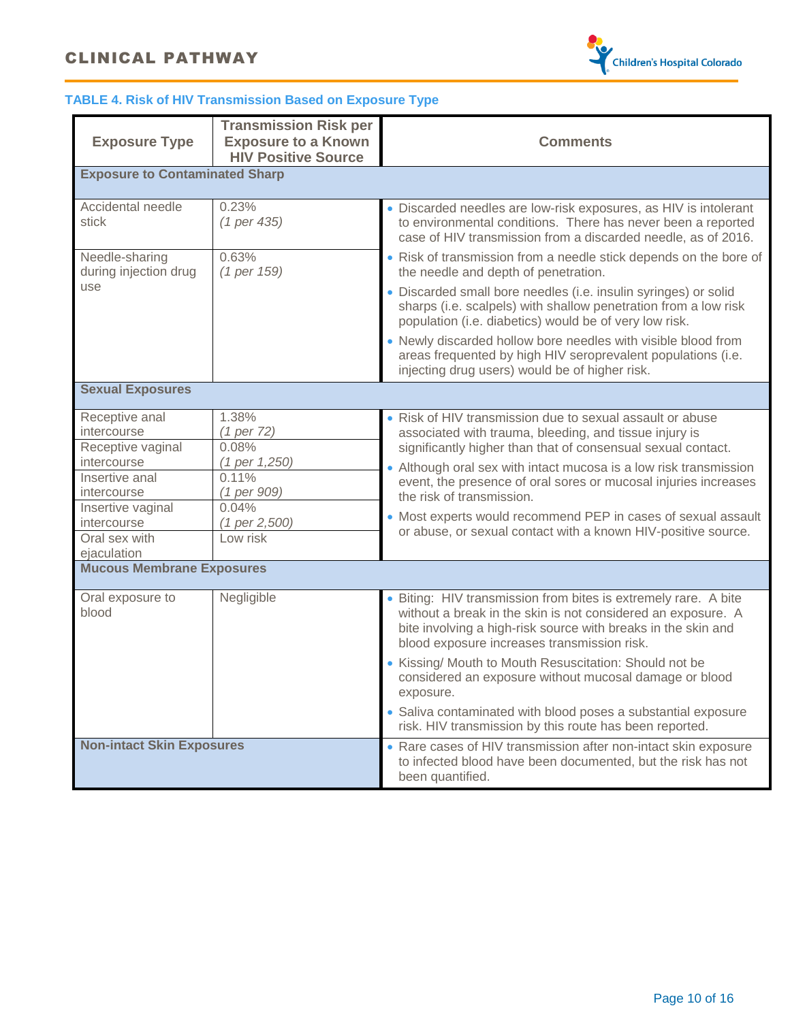## CLINICAL PATHWAY



### <span id="page-9-0"></span>**TABLE 4. Risk of HIV Transmission Based on Exposure Type**

|                                                          | <b>Transmission Risk per</b>          |                                                                                                                                                                                                                                                 |  |  |  |  |
|----------------------------------------------------------|---------------------------------------|-------------------------------------------------------------------------------------------------------------------------------------------------------------------------------------------------------------------------------------------------|--|--|--|--|
| <b>Exposure Type</b>                                     | <b>Exposure to a Known</b>            | <b>Comments</b>                                                                                                                                                                                                                                 |  |  |  |  |
|                                                          | <b>HIV Positive Source</b>            |                                                                                                                                                                                                                                                 |  |  |  |  |
| <b>Exposure to Contaminated Sharp</b>                    |                                       |                                                                                                                                                                                                                                                 |  |  |  |  |
| Accidental needle<br>stick                               | 0.23%<br>(1 per 435)                  | • Discarded needles are low-risk exposures, as HIV is intolerant<br>to environmental conditions. There has never been a reported<br>case of HIV transmission from a discarded needle, as of 2016.                                               |  |  |  |  |
| Needle-sharing<br>during injection drug                  | 0.63%<br>(1 per 159)                  | • Risk of transmission from a needle stick depends on the bore of<br>the needle and depth of penetration.                                                                                                                                       |  |  |  |  |
| use                                                      |                                       | • Discarded small bore needles (i.e. insulin syringes) or solid<br>sharps (i.e. scalpels) with shallow penetration from a low risk<br>population (i.e. diabetics) would be of very low risk.                                                    |  |  |  |  |
|                                                          |                                       | • Newly discarded hollow bore needles with visible blood from<br>areas frequented by high HIV seroprevalent populations (i.e.<br>injecting drug users) would be of higher risk.                                                                 |  |  |  |  |
| <b>Sexual Exposures</b>                                  |                                       |                                                                                                                                                                                                                                                 |  |  |  |  |
| Receptive anal<br>intercourse<br>Receptive vaginal       | 1.38%<br>(1 per 72)<br>0.08%          | • Risk of HIV transmission due to sexual assault or abuse<br>associated with trauma, bleeding, and tissue injury is<br>significantly higher than that of consensual sexual contact.                                                             |  |  |  |  |
| intercourse<br>Insertive anal<br>intercourse             | (1 per 1,250)<br>0.11%<br>(1 per 909) | • Although oral sex with intact mucosa is a low risk transmission<br>event, the presence of oral sores or mucosal injuries increases                                                                                                            |  |  |  |  |
| Insertive vaginal<br><i>intercourse</i><br>Oral sex with | 0.04%<br>(1 per 2,500)<br>Low risk    | the risk of transmission.<br>• Most experts would recommend PEP in cases of sexual assault<br>or abuse, or sexual contact with a known HIV-positive source.                                                                                     |  |  |  |  |
| ejaculation<br><b>Mucous Membrane Exposures</b>          |                                       |                                                                                                                                                                                                                                                 |  |  |  |  |
| Oral exposure to<br>blood                                | Negligible                            | • Biting: HIV transmission from bites is extremely rare. A bite<br>without a break in the skin is not considered an exposure. A<br>bite involving a high-risk source with breaks in the skin and<br>blood exposure increases transmission risk. |  |  |  |  |
|                                                          |                                       | • Kissing/ Mouth to Mouth Resuscitation: Should not be<br>considered an exposure without mucosal damage or blood<br>exposure.                                                                                                                   |  |  |  |  |
|                                                          |                                       | • Saliva contaminated with blood poses a substantial exposure<br>risk. HIV transmission by this route has been reported.                                                                                                                        |  |  |  |  |
| <b>Non-intact Skin Exposures</b>                         |                                       | • Rare cases of HIV transmission after non-intact skin exposure<br>to infected blood have been documented, but the risk has not<br>been quantified.                                                                                             |  |  |  |  |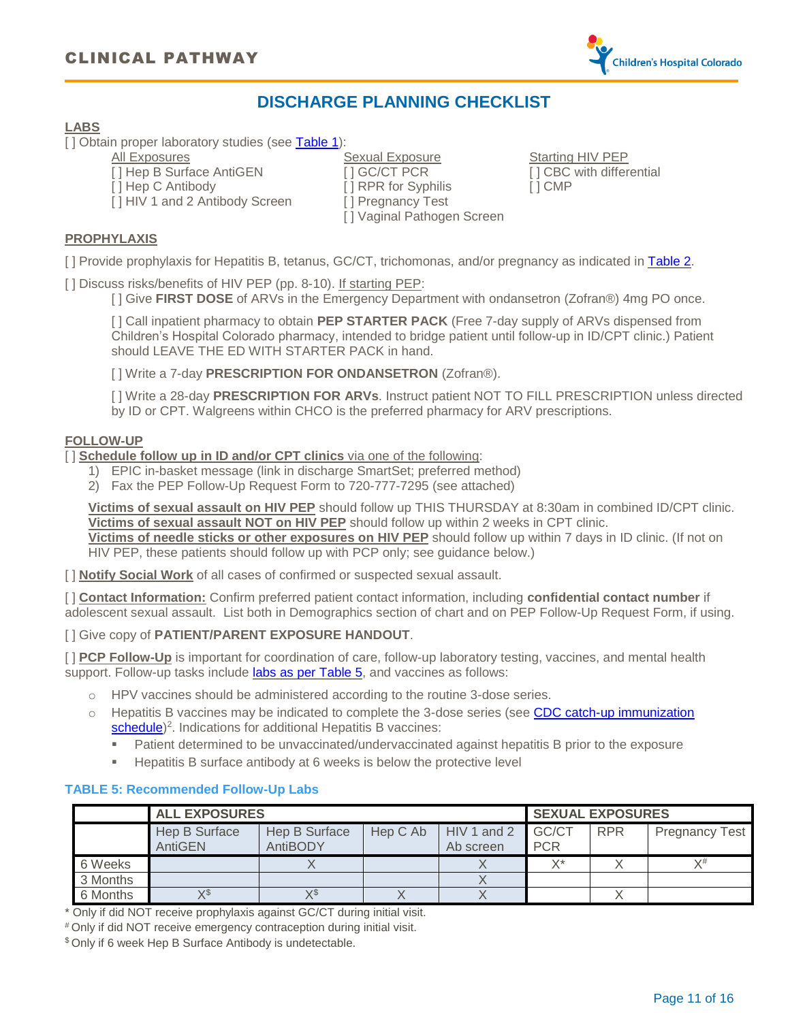

### **DISCHARGE PLANNING CHECKLIST**

### <span id="page-10-0"></span>**LABS**

[] Obtain proper laboratory studies (see [Table](#page-4-2) 1):

All Exposures Sexual Exposure Sexual Exposure Starting HIV PEP [ ] Hep B Surface AntiGEN [ ] GC/CT PCR [ ] CBC with differential [ ] Hep C Antibody [ ] RPR for Syphilis [ ] CMP [ ] HIV 1 and 2 Antibody Screen [ ] Pregnancy Test [ ] Vaginal Pathogen Screen

#### **PROPHYLAXIS**

[ ] Provide prophylaxis for Hepatitis B, tetanus, GC/CT, trichomonas, and/or pregnancy as indicated in [Table](#page-6-1) 2.

[ ] Discuss risks/benefits of HIV PEP (pp. 8-10). If starting PEP:

[ ] Give **FIRST DOSE** of ARVs in the Emergency Department with ondansetron (Zofran®) 4mg PO once.

[] Call inpatient pharmacy to obtain PEP STARTER PACK (Free 7-day supply of ARVs dispensed from Children's Hospital Colorado pharmacy, intended to bridge patient until follow-up in ID/CPT clinic.) Patient should LEAVE THE ED WITH STARTER PACK in hand.

[ ] Write a 7-day **PRESCRIPTION FOR ONDANSETRON** (Zofran®).

[ ] Write a 28-day **PRESCRIPTION FOR ARVs**. Instruct patient NOT TO FILL PRESCRIPTION unless directed by ID or CPT. Walgreens within CHCO is the preferred pharmacy for ARV prescriptions.

#### **FOLLOW-UP**

[ ] **Schedule follow up in ID and/or CPT clinics** via one of the following:

- 1) EPIC in-basket message (link in discharge SmartSet; preferred method)
- 2) Fax the PEP Follow-Up Request Form to 720-777-7295 (see attached)

**Victims of sexual assault on HIV PEP** should follow up THIS THURSDAY at 8:30am in combined ID/CPT clinic. **Victims of sexual assault NOT on HIV PEP** should follow up within 2 weeks in CPT clinic. **Victims of needle sticks or other exposures on HIV PEP** should follow up within 7 days in ID clinic. (If not on HIV PEP, these patients should follow up with PCP only; see guidance below.)

[ ] **Notify Social Work** of all cases of confirmed or suspected sexual assault.

[ ] **Contact Information:** Confirm preferred patient contact information, including **confidential contact number** if adolescent sexual assault. List both in Demographics section of chart and on PEP Follow-Up Request Form, if using.

[ ] Give copy of **PATIENT/PARENT EXPOSURE HANDOUT**.

[ ] **PCP Follow-Up** is important for coordination of care, follow-up laboratory testing, vaccines, and mental health support. Follow-up tasks include [labs as per Table](#page-10-1) 5, and vaccines as follows:

- o HPV vaccines should be administered according to the routine 3-dose series.
- $\circ$  Hepatitis B vaccines may be indicated to complete the 3-dose series (see CDC catch-up immunization [schedule\)](https://www.cdc.gov/vaccines/schedules/)<sup>2</sup>. Indications for additional Hepatitis B vaccines:
	- Patient determined to be unvaccinated/undervaccinated against hepatitis B prior to the exposure
	- Hepatitis B surface antibody at 6 weeks is below the protective level

### <span id="page-10-1"></span>**TABLE 5: Recommended Follow-Up Labs**

|          | <b>ALL EXPOSURES</b>            |                           |          |                          |                     | <b>SEXUAL EXPOSURES</b> |                       |  |
|----------|---------------------------------|---------------------------|----------|--------------------------|---------------------|-------------------------|-----------------------|--|
|          | <b>Hep B Surface</b><br>AntiGEN | Hep B Surface<br>AntiBODY | Hep C Ab | HIV 1 and 2<br>Ab screen | GC/CT<br><b>PCR</b> | <b>RPR</b>              | <b>Pregnancy Test</b> |  |
| 6 Weeks  |                                 |                           |          |                          | v*                  |                         | $Y^{\#}$              |  |
| 3 Months |                                 |                           |          |                          |                     |                         |                       |  |
| 6 Months | VS                              | $X^{\$}$                  |          |                          |                     |                         |                       |  |

\* Only if did NOT receive prophylaxis against GC/CT during initial visit.

# Only if did NOT receive emergency contraception during initial visit.

\$ Only if 6 week Hep B Surface Antibody is undetectable.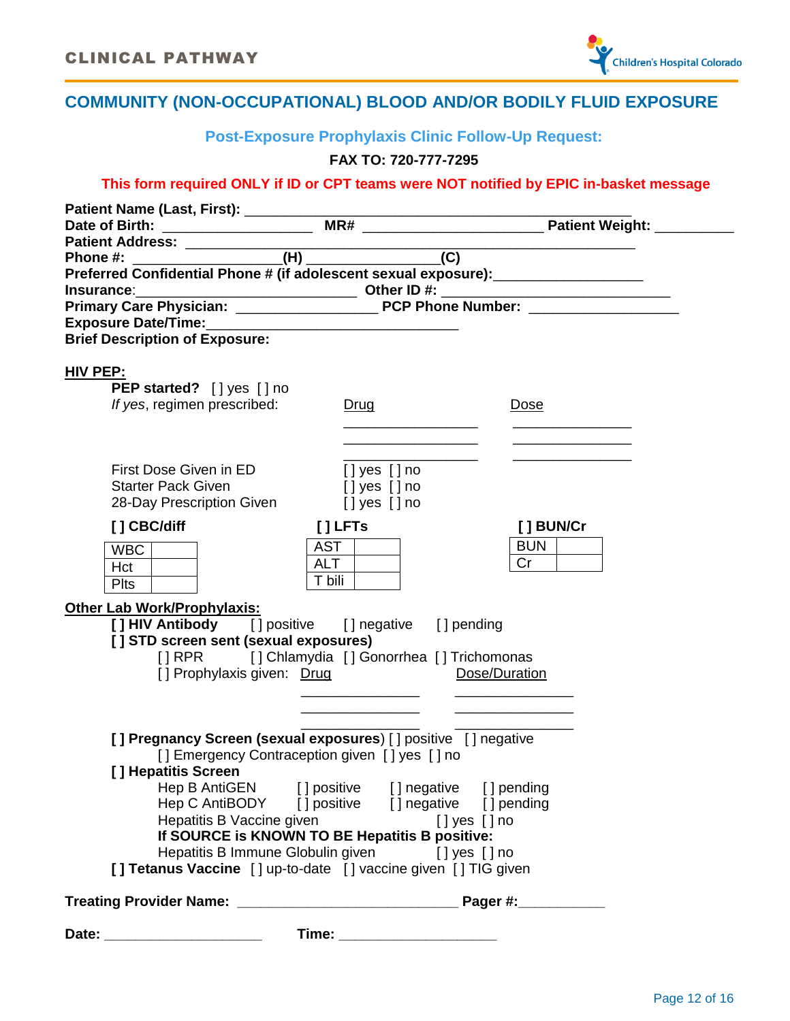

# <span id="page-11-0"></span>**COMMUNITY (NON-OCCUPATIONAL) BLOOD AND/OR BODILY FLUID EXPOSURE**

**Post-Exposure Prophylaxis Clinic Follow-Up Request:**

### **FAX TO: 720-777-7295**

### **This form required ONLY if ID or CPT teams were NOT notified by EPIC in-basket message**

| Preferred Confidential Phone # (if adolescent sexual exposure): ________________                                |                    |               |  |
|-----------------------------------------------------------------------------------------------------------------|--------------------|---------------|--|
|                                                                                                                 |                    |               |  |
|                                                                                                                 |                    |               |  |
| <b>Brief Description of Exposure:</b>                                                                           |                    |               |  |
|                                                                                                                 |                    |               |  |
| HIV PEP:                                                                                                        |                    |               |  |
| PEP started? [] yes [] no                                                                                       |                    |               |  |
| If yes, regimen prescribed:                                                                                     | Drug               | <u>Dose</u>   |  |
|                                                                                                                 |                    |               |  |
|                                                                                                                 |                    |               |  |
|                                                                                                                 |                    |               |  |
| First Dose Given in ED                                                                                          | $[]$ yes $[]$ no   |               |  |
| <b>Starter Pack Given</b><br>28-Day Prescription Given                                                          | $[]$ yes $[]$ no   |               |  |
|                                                                                                                 | $[]$ yes $[]$ no   |               |  |
| [] CBC/diff                                                                                                     | $[]$ LFTs          | [ ] BUN/Cr    |  |
| WBC                                                                                                             | AST                | BUN           |  |
| Hct                                                                                                             | <b>ALT</b>         | Cr            |  |
| <b>Plts</b>                                                                                                     | T bili             |               |  |
| <b>Other Lab Work/Prophylaxis:</b>                                                                              |                    |               |  |
| [] HIV Antibody [] positive [] negative [] pending                                                              |                    |               |  |
| [] STD screen sent (sexual exposures)                                                                           |                    |               |  |
| [] RPR [] Chlamydia [] Gonorrhea [] Trichomonas                                                                 |                    |               |  |
| [] Prophylaxis given: Drug                                                                                      |                    | Dose/Duration |  |
|                                                                                                                 |                    |               |  |
|                                                                                                                 |                    |               |  |
|                                                                                                                 |                    |               |  |
| [] Pregnancy Screen (sexual exposures) [] positive [] negative<br>[] Emergency Contraception given [] yes [] no |                    |               |  |
| [] Hepatitis Screen                                                                                             |                    |               |  |
| Hep B AntiGEN [] positive [] negative [] pending                                                                |                    |               |  |
| Hep C AntiBODY [] positive [] negative [] pending                                                               |                    |               |  |
| Hepatitis B Vaccine given                                                                                       | $[$ ] yes $[$ ] no |               |  |
| If SOURCE is KNOWN TO BE Hepatitis B positive:                                                                  |                    |               |  |
| Hepatitis B Immune Globulin given [] yes [] no                                                                  |                    |               |  |
| [] Tetanus Vaccine [] up-to-date [] vaccine given [] TIG given                                                  |                    |               |  |
|                                                                                                                 |                    |               |  |
|                                                                                                                 |                    |               |  |
| Date: _______________________                                                                                   |                    |               |  |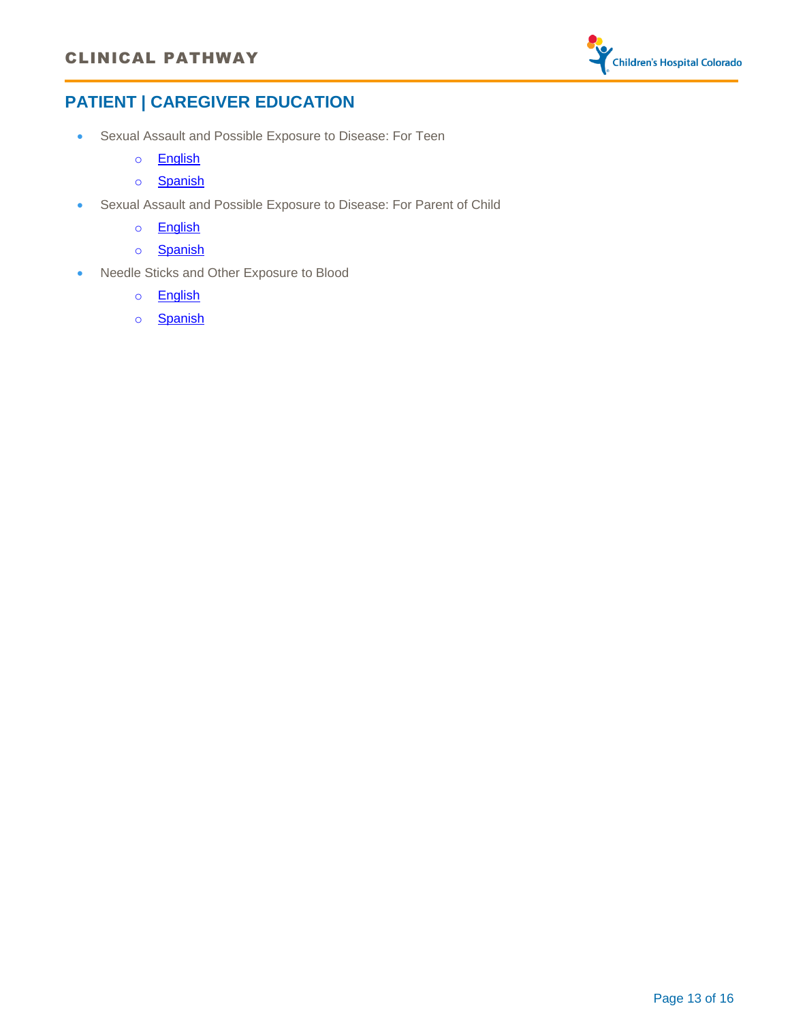### CLINICAL PATHWAY



# <span id="page-12-0"></span>**PATIENT | CAREGIVER EDUCATION**

- · Sexual Assault and Possible Exposure to Disease: For Teen
	- o [English](https://patientfamilyeducation.childrenscolorado.org/handouts/Documents/ID_SexualAssaultForTeens_Eng.pdf)
	- o [Spanish](https://patientfamilyeducation.childrenscolorado.org/handouts/Documents/ID_SexualAssaultForTeens_Spa.pdf)
- · Sexual Assault and Possible Exposure to Disease: For Parent of Child
	- o [English](https://patientfamilyeducation.childrenscolorado.org/handouts/Documents/ID_SexualAssault%20for%20parents_Eng.pdf)
	- o [Spanish](https://patientfamilyeducation.childrenscolorado.org/handouts/Documents/ID_SexualAssaultForParents_Spa.pdf)
- · Needle Sticks and Other Exposure to Blood
	- o [English](https://patientfamilyeducation.childrenscolorado.org/handouts/Documents/ID_NeedleStickAndOtherExposureToBlood_Eng.pdf)
	- o [Spanish](https://patientfamilyeducation.childrenscolorado.org/handouts/Documents/ID_NeedleStickAndOtherExposureToBlood_Spa.pdf)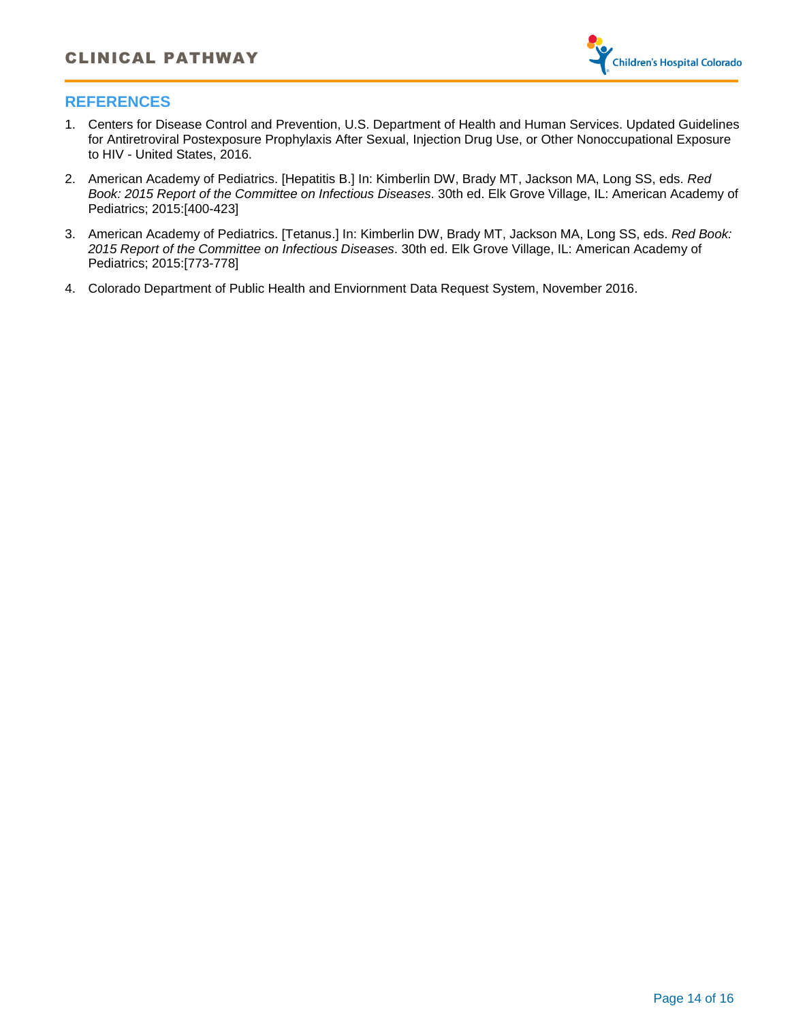

### <span id="page-13-0"></span>**REFERENCES**

- 1. Centers for Disease Control and Prevention, U.S. Department of Health and Human Services. Updated Guidelines for Antiretroviral Postexposure Prophylaxis After Sexual, Injection Drug Use, or Other Nonoccupational Exposure to HIV - United States, 2016.
- 2. American Academy of Pediatrics. [Hepatitis B.] In: Kimberlin DW, Brady MT, Jackson MA, Long SS, eds. *Red Book: 2015 Report of the Committee on Infectious Diseases*. 30th ed. Elk Grove Village, IL: American Academy of Pediatrics; 2015:[400-423]
- 3. American Academy of Pediatrics. [Tetanus.] In: Kimberlin DW, Brady MT, Jackson MA, Long SS, eds. *Red Book: 2015 Report of the Committee on Infectious Diseases*. 30th ed. Elk Grove Village, IL: American Academy of Pediatrics; 2015:[773-778]
- 4. Colorado Department of Public Health and Enviornment Data Request System, November 2016.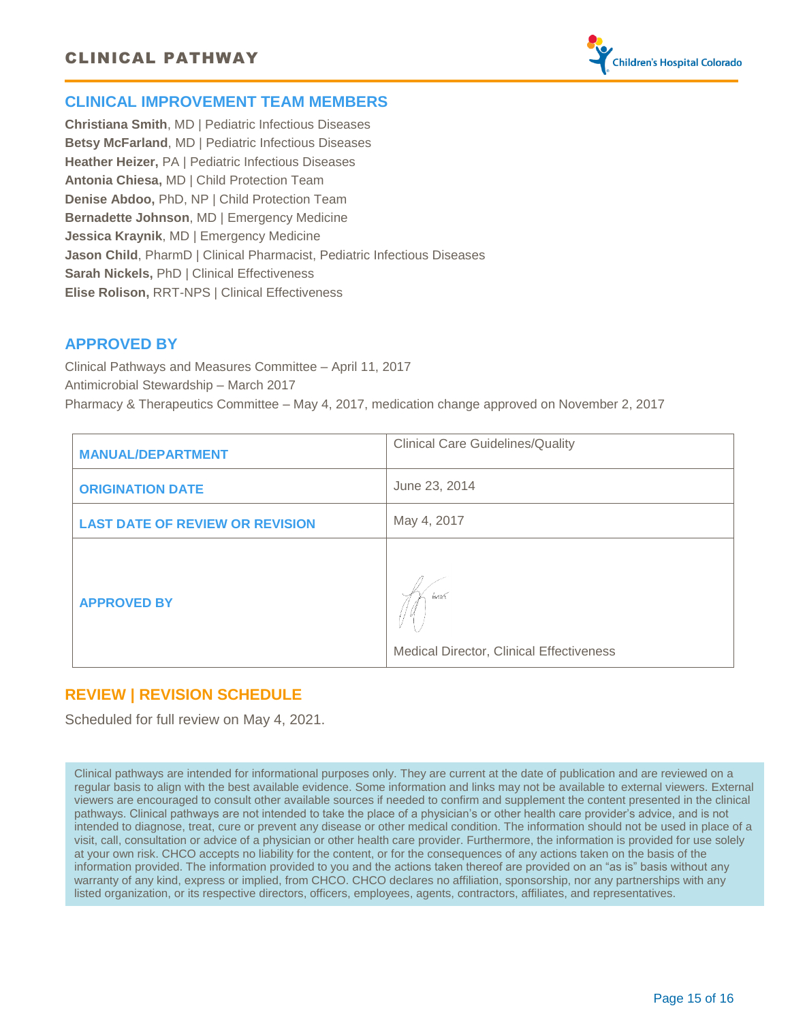

### <span id="page-14-0"></span>**CLINICAL IMPROVEMENT TEAM MEMBERS**

**Christiana Smith**, MD | Pediatric Infectious Diseases **Betsy McFarland**, MD | Pediatric Infectious Diseases **Heather Heizer,** PA | Pediatric Infectious Diseases **Antonia Chiesa,** MD | Child Protection Team **Denise Abdoo,** PhD, NP | Child Protection Team **Bernadette Johnson**, MD | Emergency Medicine **Jessica Kraynik**, MD | Emergency Medicine **Jason Child**, PharmD | Clinical Pharmacist, Pediatric Infectious Diseases **Sarah Nickels,** PhD | Clinical Effectiveness **Elise Rolison,** RRT-NPS | Clinical Effectiveness

### **APPROVED BY**

Clinical Pathways and Measures Committee – April 11, 2017 Antimicrobial Stewardship – March 2017 Pharmacy & Therapeutics Committee – May 4, 2017, medication change approved on November 2, 2017

| <b>MANUAL/DEPARTMENT</b>               | <b>Clinical Care Guidelines/Quality</b>               |  |  |
|----------------------------------------|-------------------------------------------------------|--|--|
| <b>ORIGINATION DATE</b>                | June 23, 2014                                         |  |  |
| <b>LAST DATE OF REVIEW OR REVISION</b> | May 4, 2017                                           |  |  |
| <b>APPROVED BY</b>                     | hm<br><b>Medical Director, Clinical Effectiveness</b> |  |  |

### **REVIEW | REVISION SCHEDULE**

Scheduled for full review on May 4, 2021.

Clinical pathways are intended for informational purposes only. They are current at the date of publication and are reviewed on a regular basis to align with the best available evidence. Some information and links may not be available to external viewers. External viewers are encouraged to consult other available sources if needed to confirm and supplement the content presented in the clinical pathways. Clinical pathways are not intended to take the place of a physician's or other health care provider's advice, and is not intended to diagnose, treat, cure or prevent any disease or other medical condition. The information should not be used in place of a visit, call, consultation or advice of a physician or other health care provider. Furthermore, the information is provided for use solely at your own risk. CHCO accepts no liability for the content, or for the consequences of any actions taken on the basis of the information provided. The information provided to you and the actions taken thereof are provided on an "as is" basis without any warranty of any kind, express or implied, from CHCO. CHCO declares no affiliation, sponsorship, nor any partnerships with any listed organization, or its respective directors, officers, employees, agents, contractors, affiliates, and representatives.